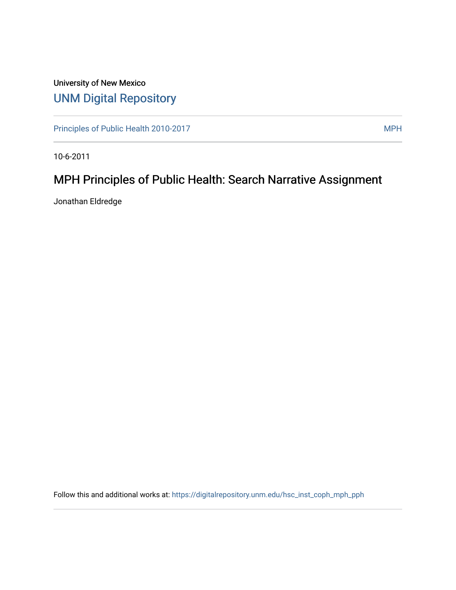## University of New Mexico [UNM Digital Repository](https://digitalrepository.unm.edu/)

[Principles of Public Health 2010-2017](https://digitalrepository.unm.edu/hsc_inst_coph_mph_pph) MPH

10-6-2011

## MPH Principles of Public Health: Search Narrative Assignment

Jonathan Eldredge

Follow this and additional works at: [https://digitalrepository.unm.edu/hsc\\_inst\\_coph\\_mph\\_pph](https://digitalrepository.unm.edu/hsc_inst_coph_mph_pph?utm_source=digitalrepository.unm.edu%2Fhsc_inst_coph_mph_pph%2F10&utm_medium=PDF&utm_campaign=PDFCoverPages)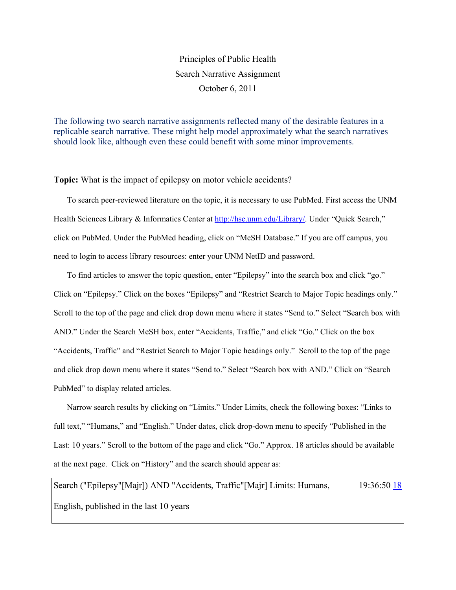## Principles of Public Health Search Narrative Assignment October 6, 2011

The following two search narrative assignments reflected many of the desirable features in a replicable search narrative. These might help model approximately what the search narratives should look like, although even these could benefit with some minor improvements.

**Topic:** What is the impact of epilepsy on motor vehicle accidents?

To search peer-reviewed literature on the topic, it is necessary to use PubMed. First access the UNM Health Sciences Library & Informatics Center at [http://hsc.unm.edu/Library/.](http://hsc.unm.edu/Library/) Under "Quick Search," click on PubMed. Under the PubMed heading, click on "MeSH Database." If you are off campus, you need to login to access library resources: enter your UNM NetID and password.

To find articles to answer the topic question, enter "Epilepsy" into the search box and click "go." Click on "Epilepsy." Click on the boxes "Epilepsy" and "Restrict Search to Major Topic headings only." Scroll to the top of the page and click drop down menu where it states "Send to." Select "Search box with AND." Under the Search MeSH box, enter "Accidents, Traffic," and click "Go." Click on the box "Accidents, Traffic" and "Restrict Search to Major Topic headings only." Scroll to the top of the page and click drop down menu where it states "Send to." Select "Search box with AND." Click on "Search PubMed" to display related articles.

Narrow search results by clicking on "Limits." Under Limits, check the following boxes: "Links to full text," "Humans," and "English." Under dates, click drop-down menu to specify "Published in the Last: 10 years." Scroll to the bottom of the page and click "Go." Approx. 18 articles should be available at the next page. Click on "History" and the search should appear as:

Search ("Epilepsy"[Majr]) AND "Accidents, Traffic"[Majr] Limits: Humans, English, published in the last 10 years 19:36:50 [18](http://www.ncbi.nlm.nih.gov/pubmed/?cmd=HistorySearch&querykey=7&)